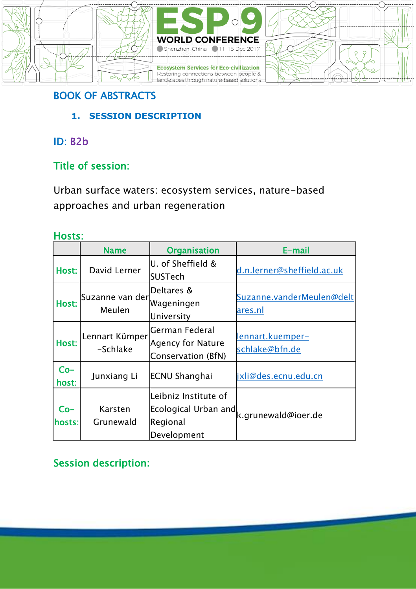





## BOOK OF ABSTRACTS

**1. SESSION DESCRIPTION**

## ID: B2b

## Title of session:

Urban surface waters: ecosystem services, nature-based approaches and urban regeneration

### Hosts:

|                 | <b>Name</b>                | <b>Organisation</b>                                                     | E-mail                               |
|-----------------|----------------------------|-------------------------------------------------------------------------|--------------------------------------|
| Host:           | David Lerner               | U. of Sheffield &<br>SUSTech                                            | d.n.lerner@sheffield.ac.uk           |
| Host:           | Suzanne van der<br>Meulen  | Deltares &<br>Wageningen<br>University                                  | Suzanne.vanderMeulen@delt<br>ares.nl |
| Host:           | Lennart Kümper<br>-Schlake | German Federal<br>Agency for Nature<br>Conservation (BfN)               | lennart.kuemper-<br>schlake@bfn.de   |
| Co-<br>host:    | Junxiang Li                | <b>ECNU Shanghai</b>                                                    | jxli@des.ecnu.edu.cn                 |
| $Co-$<br>hosts: | Karsten<br>Grunewald       | Leibniz Institute of<br>Ecological Urban and<br>Regional<br>Development | k.grunewald@ioer.de                  |

## Session description: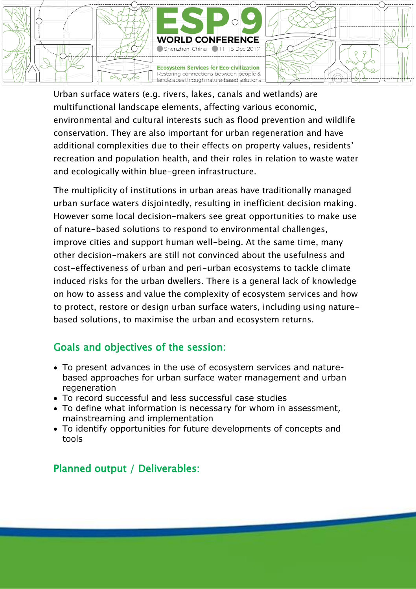

Urban surface waters (e.g. rivers, lakes, canals and wetlands) are multifunctional landscape elements, affecting various economic, environmental and cultural interests such as flood prevention and wildlife conservation. They are also important for urban regeneration and have additional complexities due to their effects on property values, residents' recreation and population health, and their roles in relation to waste water and ecologically within blue-green infrastructure.

The multiplicity of institutions in urban areas have traditionally managed urban surface waters disjointedly, resulting in inefficient decision making. However some local decision-makers see great opportunities to make use of nature-based solutions to respond to environmental challenges, improve cities and support human well-being. At the same time, many other decision-makers are still not convinced about the usefulness and cost-effectiveness of urban and peri-urban ecosystems to tackle climate induced risks for the urban dwellers. There is a general lack of knowledge on how to assess and value the complexity of ecosystem services and how to protect, restore or design urban surface waters, including using naturebased solutions, to maximise the urban and ecosystem returns.

### Goals and objectives of the session:

- To present advances in the use of ecosystem services and naturebased approaches for urban surface water management and urban regeneration
- To record successful and less successful case studies
- To define what information is necessary for whom in assessment, mainstreaming and implementation
- To identify opportunities for future developments of concepts and tools

### Planned output / Deliverables: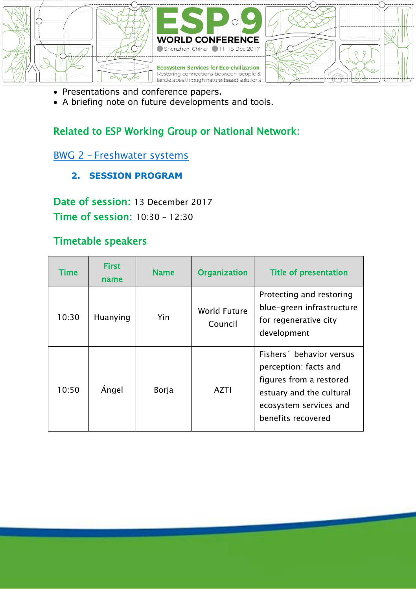

- Presentations and conference papers.
- A briefing note on future developments and tools.

### Related to ESP Working Group or National Network:

BWG 2 – [Freshwater systems](https://www.es-partnership.org/community/workings-groups/biome-working-groups/bwg-2-freshwater-systems/)

**2. SESSION PROGRAM**

Date of session: 13 December 2017 Time of session: 10:30 – 12:30

### Timetable speakers

| <b>Time</b> | <b>First</b><br>name | <b>Name</b> | <b>Organization</b>     | Title of presentation                                                                                                                                   |
|-------------|----------------------|-------------|-------------------------|---------------------------------------------------------------------------------------------------------------------------------------------------------|
| 10:30       | Huanying             | Yin         | World Future<br>Council | Protecting and restoring<br>blue-green infrastructure<br>for regenerative city<br>development                                                           |
| 10:50       | Angel                | Borja       | <b>AZTI</b>             | Fishers behavior versus<br>perception: facts and<br>figures from a restored<br>estuary and the cultural<br>ecosystem services and<br>benefits recovered |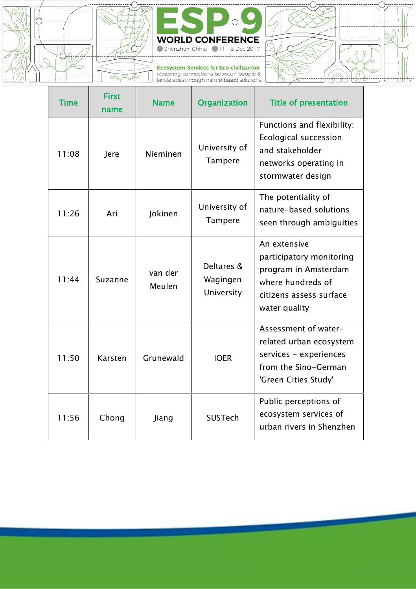



Ecosystem Services for Eco-civilization<br>Restoring connections between people &<br>landscapes through nature-based solutions

T



٦

| <b>Time</b> | <b>First</b><br>name | <b>Name</b>       | <b>Organization</b>                  | <b>Title of presentation</b>                                                                                                      |
|-------------|----------------------|-------------------|--------------------------------------|-----------------------------------------------------------------------------------------------------------------------------------|
| 11:08       | Jere                 | Nieminen          | University of<br>Tampere             | Functions and flexibility:<br>Ecological succession<br>and stakeholder<br>networks operating in<br>stormwater design              |
| 11:26       | Ari                  | <b>lokinen</b>    | University of<br>Tampere             | The potentiality of<br>nature-based solutions<br>seen through ambiguities                                                         |
| 11.44       | Suzanne              | van der<br>Meulen | Deltares &<br>Wagingen<br>University | An extensive<br>participatory monitoring<br>program in Amsterdam<br>where hundreds of<br>citizens assess surface<br>water quality |
| 11:50       | Karsten              | Grunewald         | <b>IOER</b>                          | Assessment of water-<br>related urban ecosystem<br>services - experiences<br>from the Sino-German<br>'Green Cities Study'         |
| 11:56       | Chong                | Jiang             | SUSTech                              | Public perceptions of<br>ecosystem services of<br>urban rivers in Shenzhen                                                        |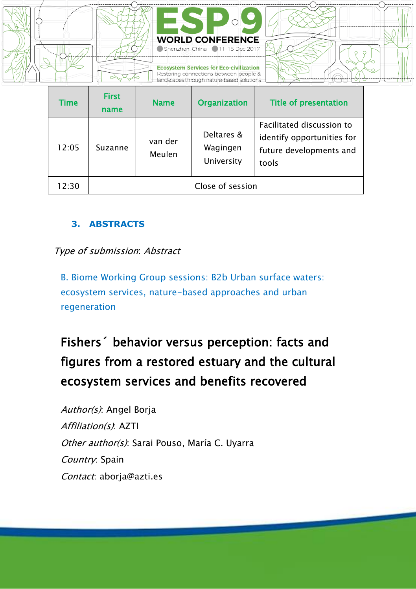

| Time  | <b>First</b><br>name | <b>Name</b>       | <b>Organization</b>                  | <b>Title of presentation</b>                                                                |
|-------|----------------------|-------------------|--------------------------------------|---------------------------------------------------------------------------------------------|
| 12:05 | Suzanne              | van der<br>Meulen | Deltares &<br>Wagingen<br>University | Facilitated discussion to<br>identify opportunities for<br>future developments and<br>tools |
| 12:30 | Close of session     |                   |                                      |                                                                                             |

#### **3. ABSTRACTS**

#### Type of submission: Abstract

B. Biome Working Group sessions: B2b Urban surface waters: ecosystem services, nature-based approaches and urban regeneration

# Fishers´ behavior versus perception: facts and figures from a restored estuary and the cultural ecosystem services and benefits recovered

Author(s): Angel Borja Affiliation(s): AZTI Other author(s): Sarai Pouso, María C. Uyarra Country: Spain Contact: aboria@azti.es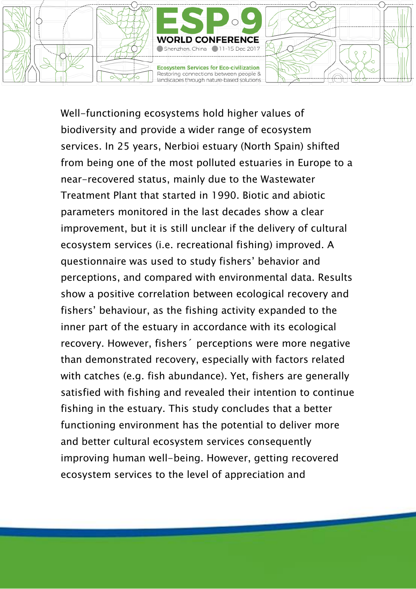

Well-functioning ecosystems hold higher values of biodiversity and provide a wider range of ecosystem services. In 25 years, Nerbioi estuary (North Spain) shifted from being one of the most polluted estuaries in Europe to a near-recovered status, mainly due to the Wastewater Treatment Plant that started in 1990. Biotic and abiotic parameters monitored in the last decades show a clear improvement, but it is still unclear if the delivery of cultural ecosystem services (i.e. recreational fishing) improved. A questionnaire was used to study fishers' behavior and perceptions, and compared with environmental data. Results show a positive correlation between ecological recovery and fishers' behaviour, as the fishing activity expanded to the inner part of the estuary in accordance with its ecological recovery. However, fishers´ perceptions were more negative than demonstrated recovery, especially with factors related with catches (e.g. fish abundance). Yet, fishers are generally satisfied with fishing and revealed their intention to continue fishing in the estuary. This study concludes that a better functioning environment has the potential to deliver more and better cultural ecosystem services consequently improving human well-being. However, getting recovered ecosystem services to the level of appreciation and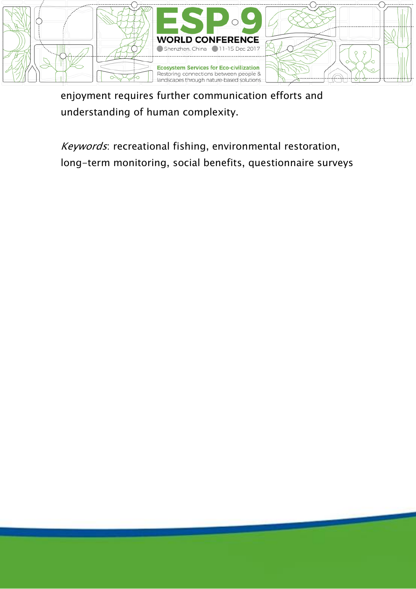

enjoyment requires further communication efforts and understanding of human complexity.

Keywords: recreational fishing, environmental restoration, long-term monitoring, social benefits, questionnaire surveys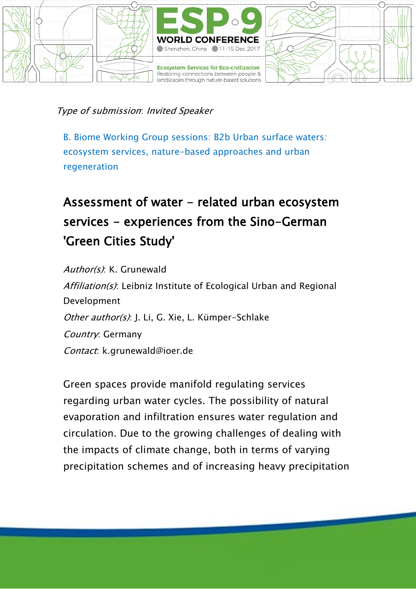

#### Type of submission: Invited Speaker

B. Biome Working Group sessions: B2b Urban surface waters: ecosystem services, nature-based approaches and urban regeneration

# Assessment of water - related urban ecosystem services - experiences from the Sino-German 'Green Cities Study'

Author(s): K. Grunewald Affiliation(s): Leibniz Institute of Ecological Urban and Regional Development Other author(s): J. Li. G. Xie. L. Kümper-Schlake Country: Germany Contact: k.grunewald@ioer.de

Green spaces provide manifold regulating services regarding urban water cycles. The possibility of natural evaporation and infiltration ensures water regulation and circulation. Due to the growing challenges of dealing with the impacts of climate change, both in terms of varying precipitation schemes and of increasing heavy precipitation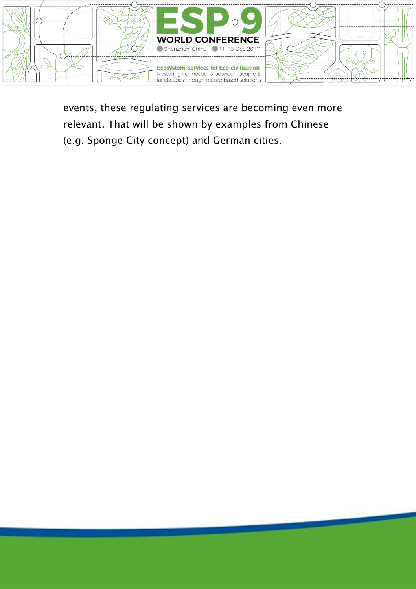

events, these regulating services are becoming even more relevant. That will be shown by examples from Chinese (e.g. Sponge City concept) and German cities.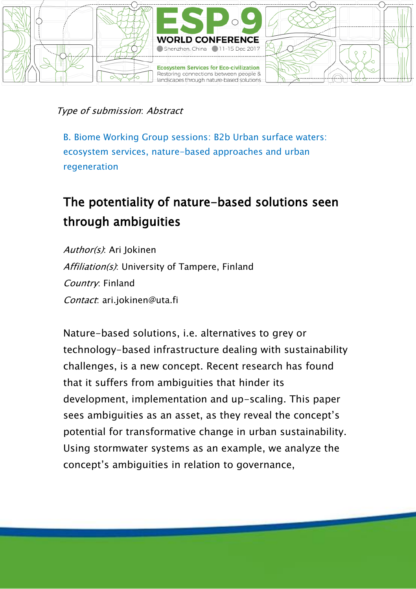

#### Type of submission: Abstract

B. Biome Working Group sessions: B2b Urban surface waters: ecosystem services, nature-based approaches and urban regeneration

## The potentiality of nature-based solutions seen through ambiguities

Author(s): Ari Jokinen Affiliation(s): University of Tampere, Finland Country: Finland Contact: ari.jokinen@uta.fi

Nature-based solutions, i.e. alternatives to grey or technology-based infrastructure dealing with sustainability challenges, is a new concept. Recent research has found that it suffers from ambiguities that hinder its development, implementation and up-scaling. This paper sees ambiguities as an asset, as they reveal the concept's potential for transformative change in urban sustainability. Using stormwater systems as an example, we analyze the concept's ambiguities in relation to governance,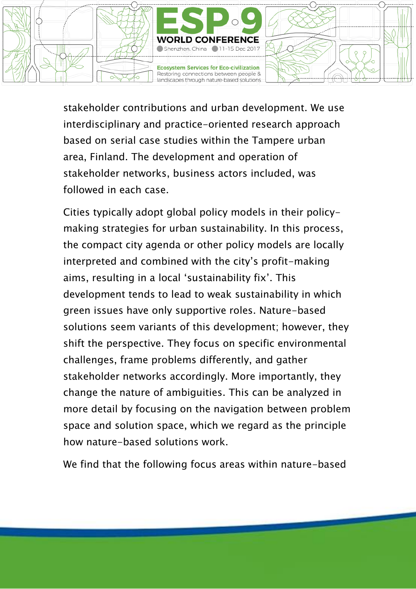

stakeholder contributions and urban development. We use interdisciplinary and practice-oriented research approach based on serial case studies within the Tampere urban area, Finland. The development and operation of stakeholder networks, business actors included, was followed in each case.

Cities typically adopt global policy models in their policymaking strategies for urban sustainability. In this process, the compact city agenda or other policy models are locally interpreted and combined with the city's profit-making aims, resulting in a local 'sustainability fix'. This development tends to lead to weak sustainability in which green issues have only supportive roles. Nature-based solutions seem variants of this development; however, they shift the perspective. They focus on specific environmental challenges, frame problems differently, and gather stakeholder networks accordingly. More importantly, they change the nature of ambiguities. This can be analyzed in more detail by focusing on the navigation between problem space and solution space, which we regard as the principle how nature-based solutions work.

We find that the following focus areas within nature-based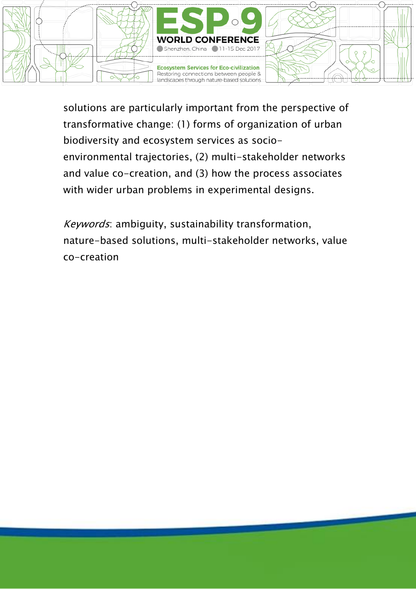

solutions are particularly important from the perspective of transformative change: (1) forms of organization of urban biodiversity and ecosystem services as socioenvironmental trajectories, (2) multi-stakeholder networks and value co-creation, and (3) how the process associates with wider urban problems in experimental designs.

Keywords: ambiguity, sustainability transformation, nature-based solutions, multi-stakeholder networks, value co-creation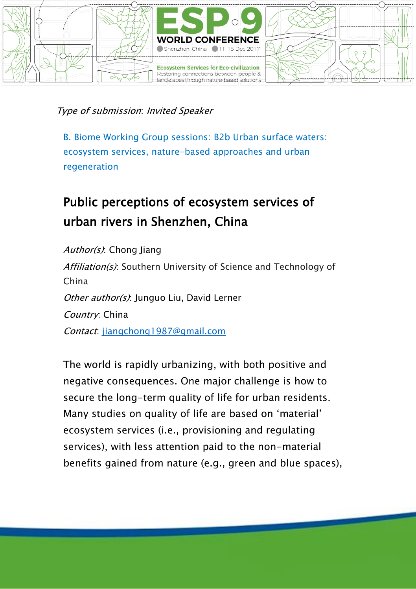

#### Type of submission: Invited Speaker

B. Biome Working Group sessions: B2b Urban surface waters: ecosystem services, nature-based approaches and urban regeneration

## Public perceptions of ecosystem services of urban rivers in Shenzhen, China

Author(s): Chong Jiang Affiliation(s): Southern University of Science and Technology of China Other author(s): Junguo Liu, David Lerner Country: China Contact: [jiangchong1987@gmail.com](mailto:jiangchong1987@gmail.com)

The world is rapidly urbanizing, with both positive and negative consequences. One major challenge is how to secure the long-term quality of life for urban residents. Many studies on quality of life are based on 'material' ecosystem services (i.e., provisioning and regulating services), with less attention paid to the non-material benefits gained from nature (e.g., green and blue spaces),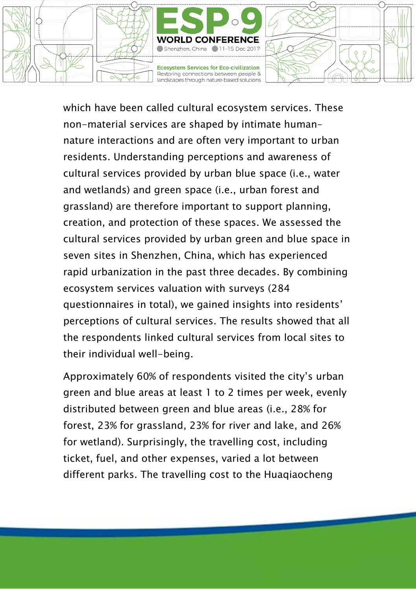

which have been called cultural ecosystem services. These non-material services are shaped by intimate human– nature interactions and are often very important to urban residents. Understanding perceptions and awareness of cultural services provided by urban blue space (i.e., water and wetlands) and green space (i.e., urban forest and grassland) are therefore important to support planning, creation, and protection of these spaces. We assessed the cultural services provided by urban green and blue space in seven sites in Shenzhen, China, which has experienced rapid urbanization in the past three decades. By combining ecosystem services valuation with surveys (284 questionnaires in total), we gained insights into residents' perceptions of cultural services. The results showed that all the respondents linked cultural services from local sites to their individual well-being.

Approximately 60% of respondents visited the city's urban green and blue areas at least 1 to 2 times per week, evenly distributed between green and blue areas (i.e., 28% for forest, 23% for grassland, 23% for river and lake, and 26% for wetland). Surprisingly, the travelling cost, including ticket, fuel, and other expenses, varied a lot between different parks. The travelling cost to the Huaqiaocheng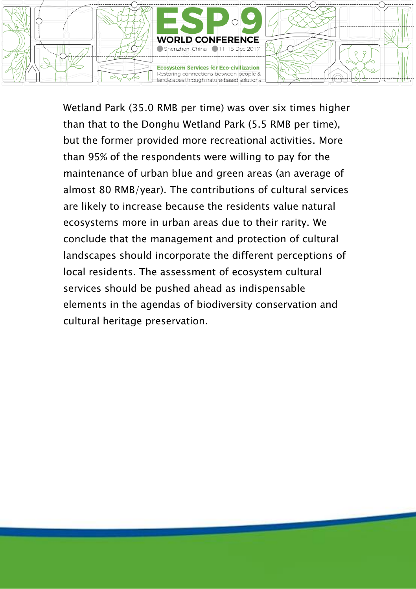

Wetland Park (35.0 RMB per time) was over six times higher than that to the Donghu Wetland Park (5.5 RMB per time), but the former provided more recreational activities. More than 95% of the respondents were willing to pay for the maintenance of urban blue and green areas (an average of almost 80 RMB/year). The contributions of cultural services are likely to increase because the residents value natural ecosystems more in urban areas due to their rarity. We conclude that the management and protection of cultural landscapes should incorporate the different perceptions of local residents. The assessment of ecosystem cultural services should be pushed ahead as indispensable elements in the agendas of biodiversity conservation and cultural heritage preservation.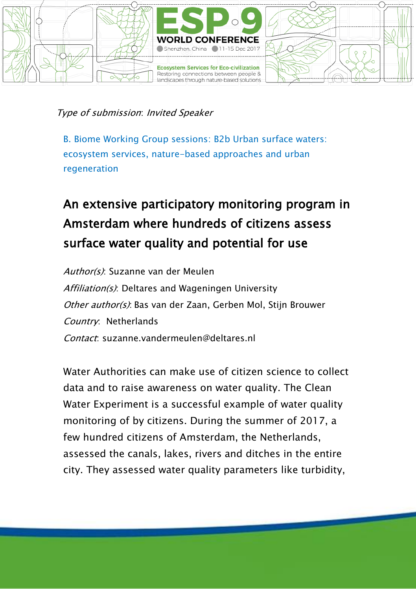

#### Type of submission: Invited Speaker

B. Biome Working Group sessions: B2b Urban surface waters: ecosystem services, nature-based approaches and urban regeneration

# An extensive participatory monitoring program in Amsterdam where hundreds of citizens assess surface water quality and potential for use

Author(s): Suzanne van der Meulen Affiliation(s): Deltares and Wageningen University Other author(s): Bas van der Zaan, Gerben Mol, Stijn Brouwer Country: Netherlands Contact: suzanne.vandermeulen@deltares.nl

Water Authorities can make use of citizen science to collect data and to raise awareness on water quality. The Clean Water Experiment is a successful example of water quality monitoring of by citizens. During the summer of 2017, a few hundred citizens of Amsterdam, the Netherlands, assessed the canals, lakes, rivers and ditches in the entire city. They assessed water quality parameters like turbidity,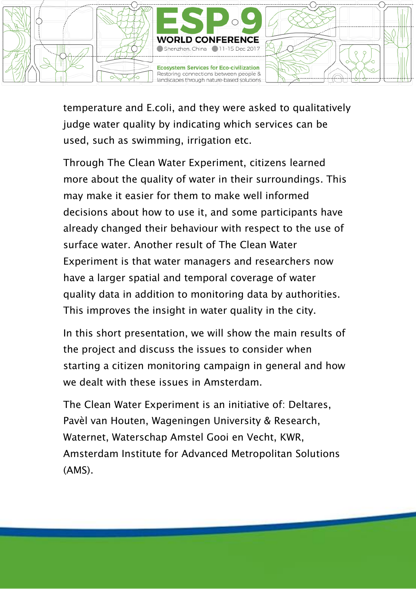

temperature and E.coli, and they were asked to qualitatively judge water quality by indicating which services can be used, such as swimming, irrigation etc.

Through The Clean Water Experiment, citizens learned more about the quality of water in their surroundings. This may make it easier for them to make well informed decisions about how to use it, and some participants have already changed their behaviour with respect to the use of surface water. Another result of The Clean Water Experiment is that water managers and researchers now have a larger spatial and temporal coverage of water quality data in addition to monitoring data by authorities. This improves the insight in water quality in the city.

In this short presentation, we will show the main results of the project and discuss the issues to consider when starting a citizen monitoring campaign in general and how we dealt with these issues in Amsterdam.

The Clean Water Experiment is an initiative of: Deltares, Pavèl van Houten, Wageningen University & Research, Waternet, Waterschap Amstel Gooi en Vecht, KWR, Amsterdam Institute for Advanced Metropolitan Solutions (AMS).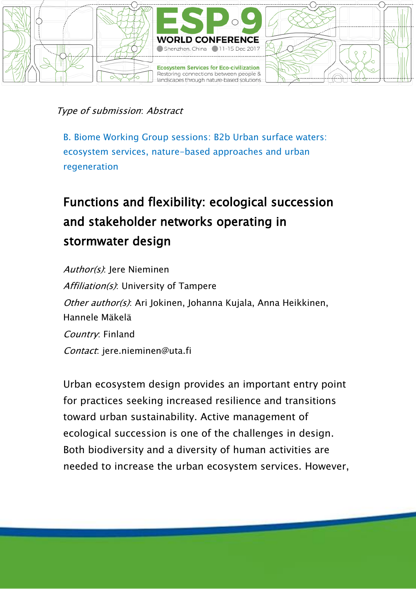

Type of submission: Abstract

B. Biome Working Group sessions: B2b Urban surface waters: ecosystem services, nature-based approaches and urban regeneration

# Functions and flexibility: ecological succession and stakeholder networks operating in stormwater design

Author(s): Jere Nieminen Affiliation(s): University of Tampere Other author(s): Ari Jokinen, Johanna Kujala, Anna Heikkinen, Hannele Mäkelä Country: Finland Contact: jere.nieminen@uta.fi

Urban ecosystem design provides an important entry point for practices seeking increased resilience and transitions toward urban sustainability. Active management of ecological succession is one of the challenges in design. Both biodiversity and a diversity of human activities are needed to increase the urban ecosystem services. However,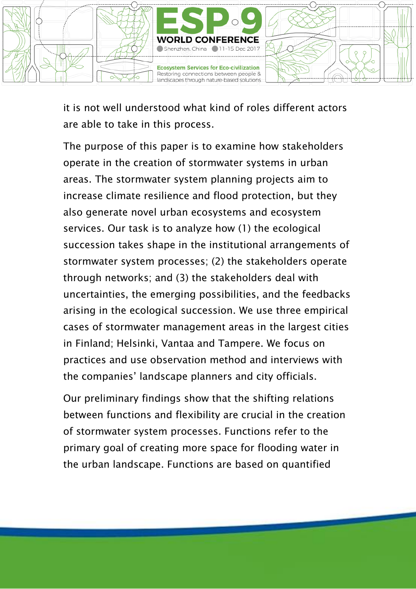

it is not well understood what kind of roles different actors are able to take in this process.

The purpose of this paper is to examine how stakeholders operate in the creation of stormwater systems in urban areas. The stormwater system planning projects aim to increase climate resilience and flood protection, but they also generate novel urban ecosystems and ecosystem services. Our task is to analyze how (1) the ecological succession takes shape in the institutional arrangements of stormwater system processes; (2) the stakeholders operate through networks; and (3) the stakeholders deal with uncertainties, the emerging possibilities, and the feedbacks arising in the ecological succession. We use three empirical cases of stormwater management areas in the largest cities in Finland; Helsinki, Vantaa and Tampere. We focus on practices and use observation method and interviews with the companies' landscape planners and city officials.

Our preliminary findings show that the shifting relations between functions and flexibility are crucial in the creation of stormwater system processes. Functions refer to the primary goal of creating more space for flooding water in the urban landscape. Functions are based on quantified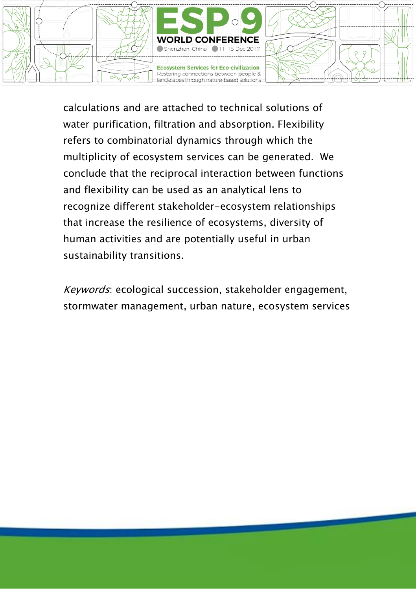

calculations and are attached to technical solutions of water purification, filtration and absorption. Flexibility refers to combinatorial dynamics through which the multiplicity of ecosystem services can be generated. We conclude that the reciprocal interaction between functions and flexibility can be used as an analytical lens to recognize different stakeholder-ecosystem relationships that increase the resilience of ecosystems, diversity of human activities and are potentially useful in urban sustainability transitions.

Keywords: ecological succession, stakeholder engagement, stormwater management, urban nature, ecosystem services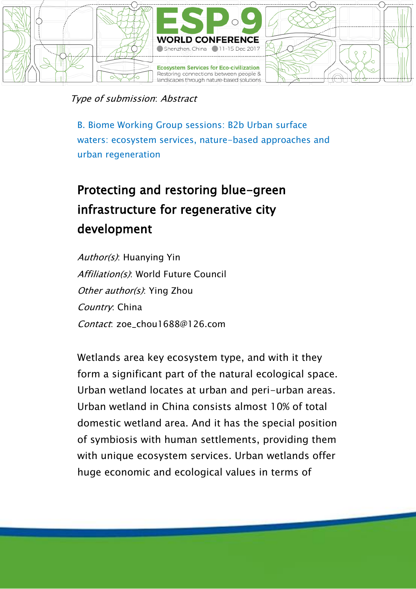

Type of submission: Abstract

B. Biome Working Group sessions: B2b Urban surface waters: ecosystem services, nature-based approaches and urban regeneration

# Protecting and restoring blue-green infrastructure for regenerative city development

Author(s): Huanving Yin Affiliation(s): World Future Council Other author(s): Ying Zhou Country: China Contact: zoe\_chou1688@126.com

Wetlands area key ecosystem type, and with it they form a significant part of the natural ecological space. Urban wetland locates at urban and peri-urban areas. Urban wetland in China consists almost 10% of total domestic wetland area. And it has the special position of symbiosis with human settlements, providing them with unique ecosystem services. Urban wetlands offer huge economic and ecological values in terms of